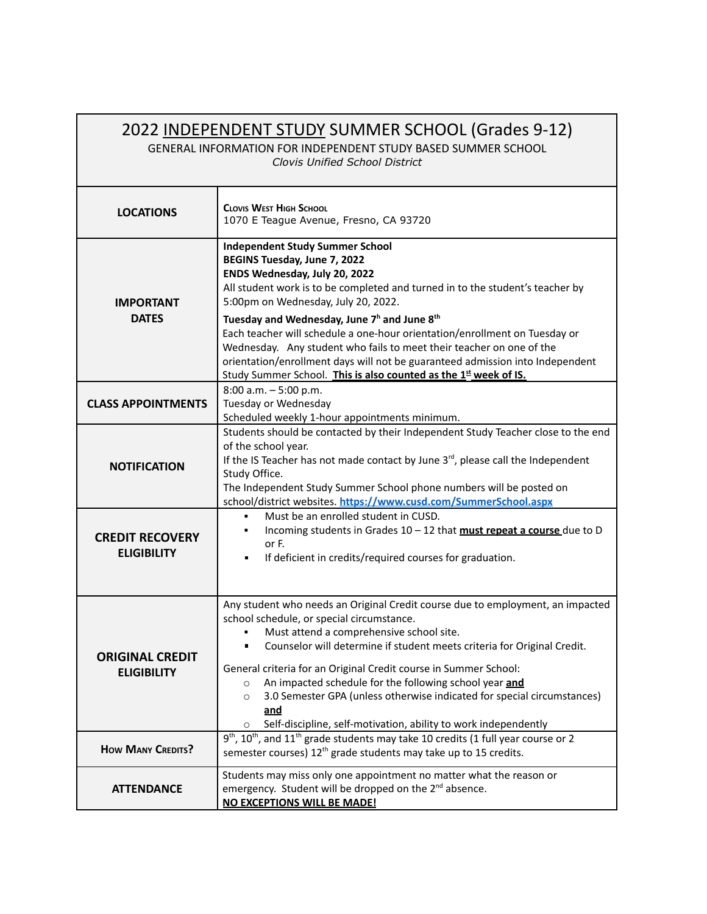| 2022 INDEPENDENT STUDY SUMMER SCHOOL (Grades 9-12)<br>GENERAL INFORMATION FOR INDEPENDENT STUDY BASED SUMMER SCHOOL<br>Clovis Unified School District |                                                                                                                                                                                                                                                                                                                                                                                                                                                                                                                                                                                                                   |
|-------------------------------------------------------------------------------------------------------------------------------------------------------|-------------------------------------------------------------------------------------------------------------------------------------------------------------------------------------------------------------------------------------------------------------------------------------------------------------------------------------------------------------------------------------------------------------------------------------------------------------------------------------------------------------------------------------------------------------------------------------------------------------------|
| <b>LOCATIONS</b>                                                                                                                                      | <b>CLOVIS WEST HIGH SCHOOL</b><br>1070 E Teague Avenue, Fresno, CA 93720                                                                                                                                                                                                                                                                                                                                                                                                                                                                                                                                          |
| <b>IMPORTANT</b><br><b>DATES</b>                                                                                                                      | <b>Independent Study Summer School</b><br>BEGINS Tuesday, June 7, 2022<br>ENDS Wednesday, July 20, 2022<br>All student work is to be completed and turned in to the student's teacher by<br>5:00pm on Wednesday, July 20, 2022.<br>Tuesday and Wednesday, June 7 <sup>h</sup> and June 8 <sup>th</sup><br>Each teacher will schedule a one-hour orientation/enrollment on Tuesday or<br>Wednesday. Any student who fails to meet their teacher on one of the<br>orientation/enrollment days will not be guaranteed admission into Independent<br>Study Summer School. This is also counted as the 1st week of IS. |
| <b>CLASS APPOINTMENTS</b>                                                                                                                             | $8:00$ a.m. $-5:00$ p.m.<br>Tuesday or Wednesday<br>Scheduled weekly 1-hour appointments minimum.                                                                                                                                                                                                                                                                                                                                                                                                                                                                                                                 |
| <b>NOTIFICATION</b>                                                                                                                                   | Students should be contacted by their Independent Study Teacher close to the end<br>of the school year.<br>If the IS Teacher has not made contact by June $3^{rd}$ , please call the Independent<br>Study Office.<br>The Independent Study Summer School phone numbers will be posted on<br>school/district websites. https://www.cusd.com/SummerSchool.aspx                                                                                                                                                                                                                                                      |
| <b>CREDIT RECOVERY</b><br><b>ELIGIBILITY</b>                                                                                                          | Must be an enrolled student in CUSD.<br>$\blacksquare$<br>Incoming students in Grades 10 - 12 that must repeat a course due to D<br>or F.<br>If deficient in credits/required courses for graduation.<br>п                                                                                                                                                                                                                                                                                                                                                                                                        |
| <b>ORIGINAL CREDIT</b><br><b>ELIGIBILITY</b>                                                                                                          | Any student who needs an Original Credit course due to employment, an impacted<br>school schedule, or special circumstance.<br>Must attend a comprehensive school site.<br>Counselor will determine if student meets criteria for Original Credit.<br>General criteria for an Original Credit course in Summer School:<br>An impacted schedule for the following school year and<br>$\circ$<br>3.0 Semester GPA (unless otherwise indicated for special circumstances)<br>$\circ$<br>and<br>Self-discipline, self-motivation, ability to work independently<br>$\circ$                                            |
| <b>HOW MANY CREDITS?</b>                                                                                                                              | $9th$ , 10 <sup>th</sup> , and 11 <sup>th</sup> grade students may take 10 credits (1 full year course or 2<br>semester courses) 12 <sup>th</sup> grade students may take up to 15 credits.                                                                                                                                                                                                                                                                                                                                                                                                                       |
| <b>ATTENDANCE</b>                                                                                                                                     | Students may miss only one appointment no matter what the reason or<br>emergency. Student will be dropped on the 2 <sup>nd</sup> absence.<br><b>NO EXCEPTIONS WILL BE MADE!</b>                                                                                                                                                                                                                                                                                                                                                                                                                                   |